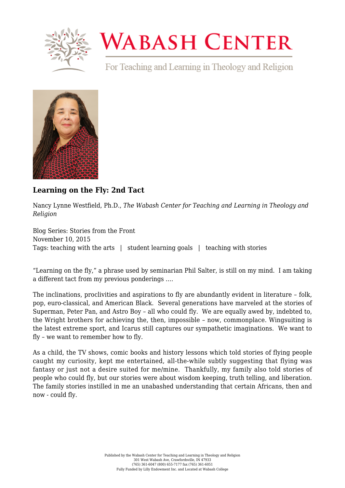

## **WABASH CENTER**

For Teaching and Learning in Theology and Religion



## **[Learning on the Fly: 2nd Tact](https://www.wabashcenter.wabash.edu/2015/11/learning-on-the-fly-2nd-tact/)**

Nancy Lynne Westfield, Ph.D., *The Wabash Center for Teaching and Learning in Theology and Religion*

Blog Series: Stories from the Front November 10, 2015 Tags: teaching with the arts | student learning goals | teaching with stories

"Learning on the fly," a phrase used by seminarian Phil Salter, is still on my mind. I am taking a different tact from my previous ponderings ….

The inclinations, proclivities and aspirations to fly are abundantly evident in literature – folk, pop, euro-classical, and American Black. Several generations have marveled at the stories of Superman, Peter Pan, and Astro Boy – all who could fly. We are equally awed by, indebted to, the Wright brothers for achieving the, then, impossible – now, commonplace. Wingsuiting is the latest extreme sport, and Icarus still captures our sympathetic imaginations. We want to fly – we want to remember how to fly.

As a child, the TV shows, comic books and history lessons which told stories of flying people caught my curiosity, kept me entertained, all-the-while subtly suggesting that flying was fantasy or just not a desire suited for me/mine. Thankfully, my family also told stories of people who could fly, but our stories were about wisdom keeping, truth telling, and liberation. The family stories instilled in me an unabashed understanding that certain Africans, then and now - could fly.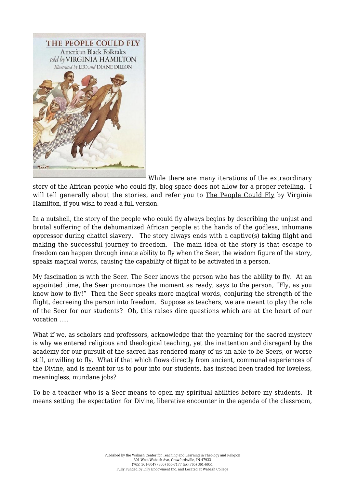

While there are many iterations of the extraordinary

story of the African people who could fly, blog space does not allow for a proper retelling. I will tell generally about the stories, and refer you to The People Could Fly by Virginia Hamilton, if you wish to read a full version.

In a nutshell, the story of the people who could fly always begins by describing the unjust and brutal suffering of the dehumanized African people at the hands of the godless, inhumane oppressor during chattel slavery. The story always ends with a captive(s) taking flight and making the successful journey to freedom. The main idea of the story is that escape to freedom can happen through innate ability to fly when the Seer, the wisdom figure of the story, speaks magical words, causing the capability of flight to be activated in a person.

My fascination is with the Seer. The Seer knows the person who has the ability to fly. At an appointed time, the Seer pronounces the moment as ready, says to the person, "Fly, as you know how to fly!" Then the Seer speaks more magical words, conjuring the strength of the flight, decreeing the person into freedom. Suppose as teachers, we are meant to play the role of the Seer for our students? Oh, this raises dire questions which are at the heart of our vocation …..

What if we, as scholars and professors, acknowledge that the yearning for the sacred mystery is why we entered religious and theological teaching, yet the inattention and disregard by the academy for our pursuit of the sacred has rendered many of us un-able to be Seers, or worse still, unwilling to fly. What if that which flows directly from ancient, communal experiences of the Divine, and is meant for us to pour into our students, has instead been traded for loveless, meaningless, mundane jobs?

To be a teacher who is a Seer means to open my spiritual abilities before my students. It means setting the expectation for Divine, liberative encounter in the agenda of the classroom,